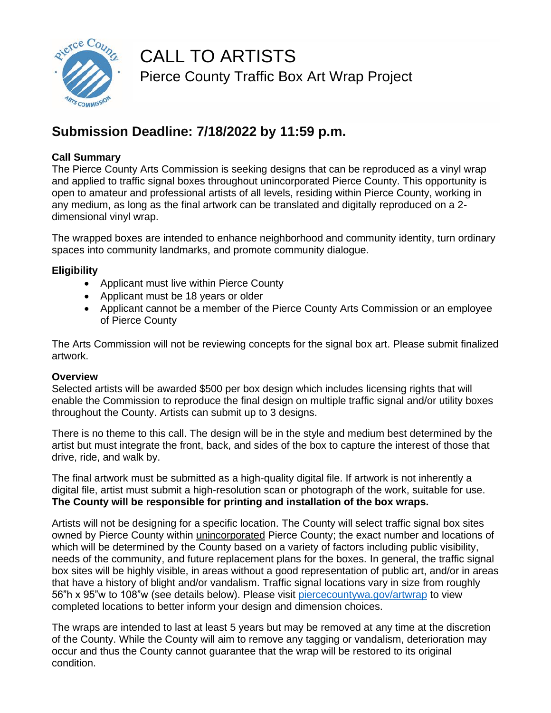

## CALL TO ARTISTS Pierce County Traffic Box Art Wrap Project

## **Submission Deadline: 7/18/2022 by 11:59 p.m.**

#### **Call Summary**

The Pierce County Arts Commission is seeking designs that can be reproduced as a vinyl wrap and applied to traffic signal boxes throughout unincorporated Pierce County. This opportunity is open to amateur and professional artists of all levels, residing within Pierce County, working in any medium, as long as the final artwork can be translated and digitally reproduced on a 2 dimensional vinyl wrap.

The wrapped boxes are intended to enhance neighborhood and community identity, turn ordinary spaces into community landmarks, and promote community dialogue.

#### **Eligibility**

- Applicant must live within Pierce County
- Applicant must be 18 years or older
- Applicant cannot be a member of the Pierce County Arts Commission or an employee of Pierce County

The Arts Commission will not be reviewing concepts for the signal box art. Please submit finalized artwork.

#### **Overview**

Selected artists will be awarded \$500 per box design which includes licensing rights that will enable the Commission to reproduce the final design on multiple traffic signal and/or utility boxes throughout the County. Artists can submit up to 3 designs.

There is no theme to this call. The design will be in the style and medium best determined by the artist but must integrate the front, back, and sides of the box to capture the interest of those that drive, ride, and walk by.

The final artwork must be submitted as a high-quality digital file. If artwork is not inherently a digital file, artist must submit a high-resolution scan or photograph of the work, suitable for use. **The County will be responsible for printing and installation of the box wraps.** 

Artists will not be designing for a specific location. The County will select traffic signal box sites owned by Pierce County within unincorporated Pierce County; the exact number and locations of which will be determined by the County based on a variety of factors including public visibility, needs of the community, and future replacement plans for the boxes. In general, the traffic signal box sites will be highly visible, in areas without a good representation of public art, and/or in areas that have a history of blight and/or vandalism. Traffic signal locations vary in size from roughly 56"h x 95"w to 108"w (see details below). Please visit [piercecountywa.gov/artwrap](https://www.piercecountywa.gov/7722/Traffic-Box-Art-Wrap-Project) to view completed locations to better inform your design and dimension choices.

The wraps are intended to last at least 5 years but may be removed at any time at the discretion of the County. While the County will aim to remove any tagging or vandalism, deterioration may occur and thus the County cannot guarantee that the wrap will be restored to its original condition.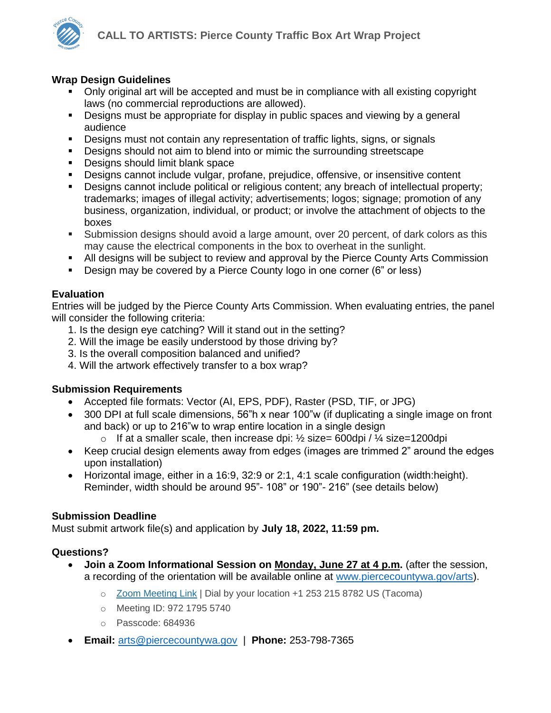#### **Wrap Design Guidelines**

- Only original art will be accepted and must be in compliance with all existing copyright laws (no commercial reproductions are allowed).
- **•** Designs must be appropriate for display in public spaces and viewing by a general audience
- Designs must not contain any representation of traffic lights, signs, or signals
- **•** Designs should not aim to blend into or mimic the surrounding streetscape
- Designs should limit blank space
- Designs cannot include vulgar, profane, prejudice, offensive, or insensitive content
- **•** Designs cannot include political or religious content; any breach of intellectual property; trademarks; images of illegal activity; advertisements; logos; signage; promotion of any business, organization, individual, or product; or involve the attachment of objects to the boxes
- **E** Submission designs should avoid a large amount, over 20 percent, of dark colors as this may cause the electrical components in the box to overheat in the sunlight.
- **■** All designs will be subject to review and approval by the Pierce County Arts Commission
- Design may be covered by a Pierce County logo in one corner (6" or less)

### **Evaluation**

Entries will be judged by the Pierce County Arts Commission. When evaluating entries, the panel will consider the following criteria:

- 1. Is the design eye catching? Will it stand out in the setting?
- 2. Will the image be easily understood by those driving by?
- 3. Is the overall composition balanced and unified?
- 4. Will the artwork effectively transfer to a box wrap?

### **Submission Requirements**

- Accepted file formats: Vector (AI, EPS, PDF), Raster (PSD, TIF, or JPG)
- 300 DPI at full scale dimensions, 56"h x near 100"w (if duplicating a single image on front and back) or up to 216"w to wrap entire location in a single design
	- o If at a smaller scale, then increase dpi:  $\frac{1}{2}$  size= 600dpi /  $\frac{1}{4}$  size=1200dpi
- Keep crucial design elements away from edges (images are trimmed 2" around the edges upon installation)
- Horizontal image, either in a 16:9, 32:9 or 2:1, 4:1 scale configuration (width:height). Reminder, width should be around 95"- 108" or 190"- 216" (see details below)

### **Submission Deadline**

Must submit artwork file(s) and application by **July 18, 2022, 11:59 pm.**

### **Questions?**

- **Join a Zoom Informational Session on Monday, June 27 at 4 p.m.** (after the session, a recording of the orientation will be available online at [www.piercecountywa.gov/arts\)](http://www.piercecountywa.gov/arts).
	- o [Zoom Meeting Link](https://piercecountywa.zoom.us/j/97217955740?pwd=VmZKNWZsMW9DbzhYMXVGMWFaNWJtQT09) | Dial by your location +1 253 215 8782 US (Tacoma)
	- o Meeting ID: 972 1795 5740
	- o Passcode: 684936
- **Email:** [arts@piercecountywa.gov](mailto:arts@piercecountywa.gov?subject=Traffic%20Box%20Art%20Wrap%20Inquiry) | **Phone:** 253-798-7365